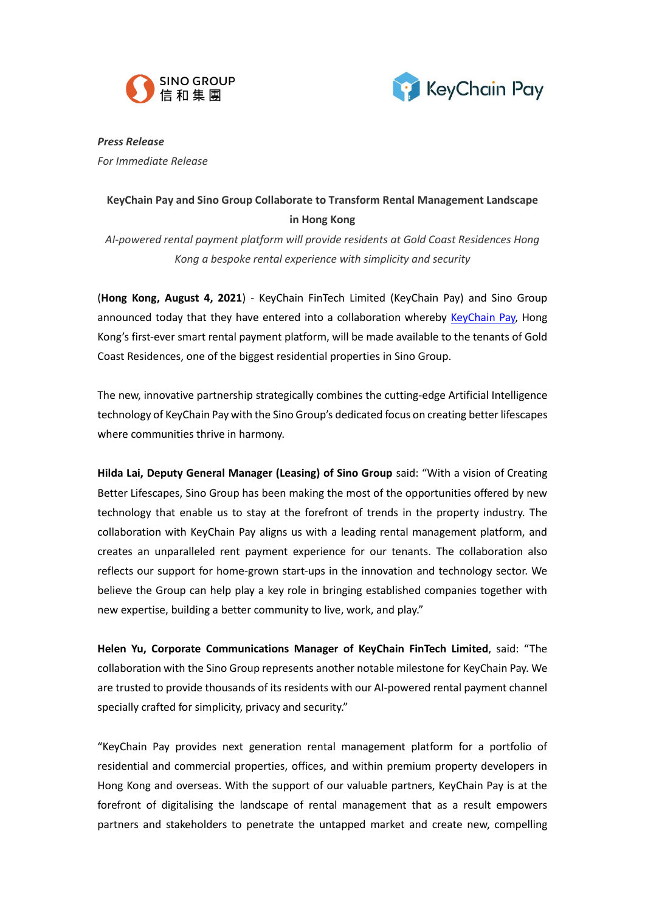



*Press Release For Immediate Release* 

## **KeyChain Pay and Sino Group Collaborate to Transform Rental Management Landscape in Hong Kong**

*AI-powered rental payment platform will provide residents at Gold Coast Residences Hong Kong a bespoke rental experience with simplicity and security*

(**Hong Kong, August 4, 2021**) - KeyChain FinTech Limited (KeyChain Pay) and Sino Group announced today that they have entered into a collaboration whereby [KeyChain Pay,](https://www.keychainpay.com/index.html) Hong Kong's first-ever smart rental payment platform, will be made available to the tenants of Gold Coast Residences, one of the biggest residential properties in Sino Group.

The new, innovative partnership strategically combines the cutting-edge Artificial Intelligence technology of KeyChain Pay with the Sino Group's dedicated focus on creating better lifescapes where communities thrive in harmony.

**Hilda Lai, Deputy General Manager (Leasing) of Sino Group** said: "With a vision of Creating Better Lifescapes, Sino Group has been making the most of the opportunities offered by new technology that enable us to stay at the forefront of trends in the property industry. The collaboration with KeyChain Pay aligns us with a leading rental management platform, and creates an unparalleled rent payment experience for our tenants. The collaboration also reflects our support for home-grown start-ups in the innovation and technology sector. We believe the Group can help play a key role in bringing established companies together with new expertise, building a better community to live, work, and play."

**Helen Yu, Corporate Communications Manager of KeyChain FinTech Limited**, said: "The collaboration with the Sino Group represents another notable milestone for KeyChain Pay. We are trusted to provide thousands of its residents with our AI-powered rental payment channel specially crafted for simplicity, privacy and security."

"KeyChain Pay provides next generation rental management platform for a portfolio of residential and commercial properties, offices, and within premium property developers in Hong Kong and overseas. With the support of our valuable partners, KeyChain Pay is at the forefront of digitalising the landscape of rental management that as a result empowers partners and stakeholders to penetrate the untapped market and create new, compelling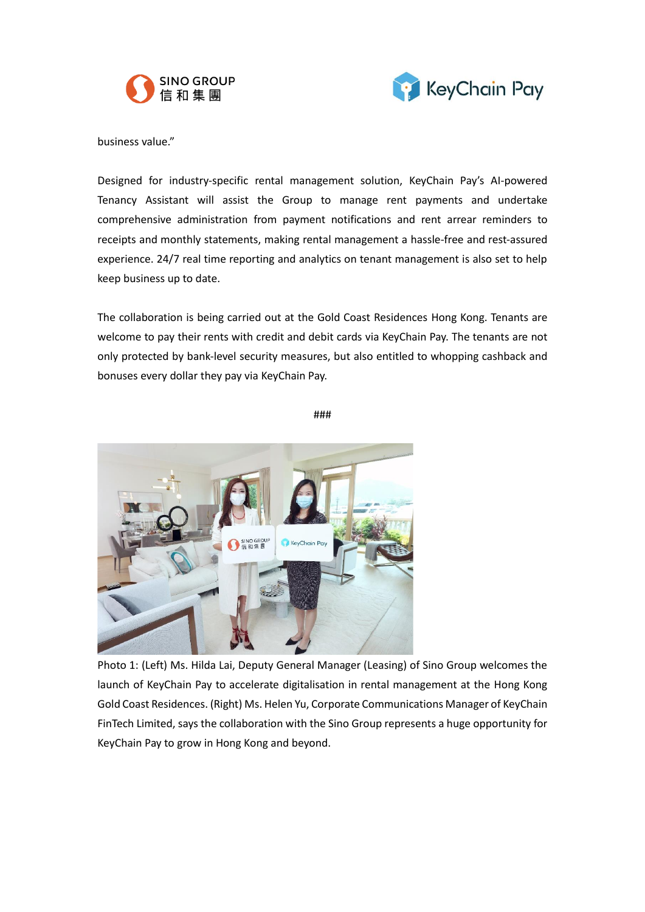



business value."

Designed for industry-specific rental management solution, KeyChain Pay's AI-powered Tenancy Assistant will assist the Group to manage rent payments and undertake comprehensive administration from payment notifications and rent arrear reminders to receipts and monthly statements, making rental management a hassle-free and rest-assured experience. 24/7 real time reporting and analytics on tenant management is also set to help keep business up to date.

The collaboration is being carried out at the Gold Coast Residences Hong Kong. Tenants are welcome to pay their rents with credit and debit cards via KeyChain Pay. The tenants are not only protected by bank-level security measures, but also entitled to whopping cashback and bonuses every dollar they pay via KeyChain Pay.

###



Photo 1: (Left) Ms. Hilda Lai, Deputy General Manager (Leasing) of Sino Group welcomes the launch of KeyChain Pay to accelerate digitalisation in rental management at the Hong Kong Gold Coast Residences. (Right) Ms. Helen Yu, Corporate Communications Manager of KeyChain FinTech Limited, says the collaboration with the Sino Group represents a huge opportunity for KeyChain Pay to grow in Hong Kong and beyond.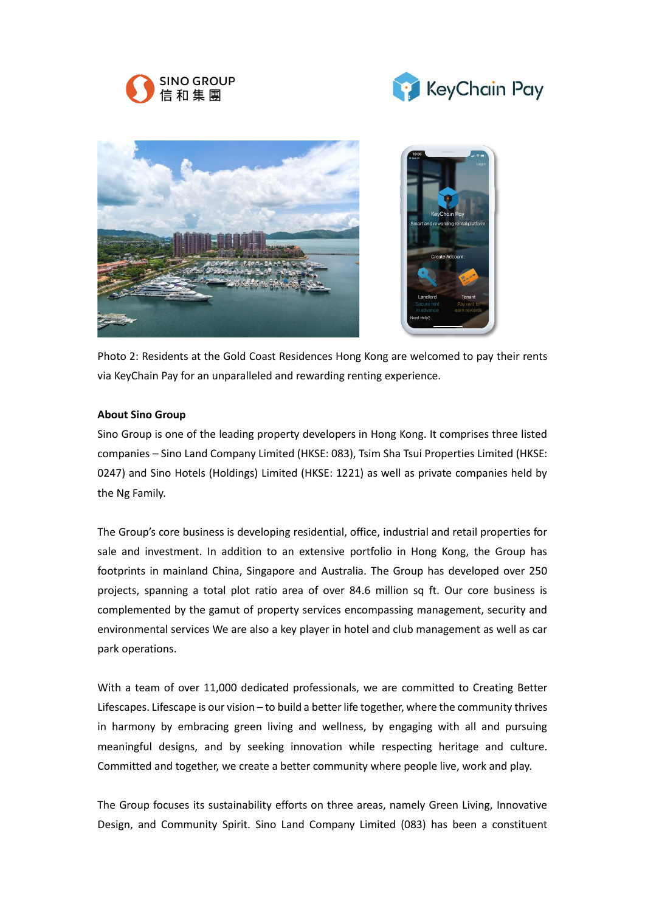





Photo 2: Residents at the Gold Coast Residences Hong Kong are welcomed to pay their rents via KeyChain Pay for an unparalleled and rewarding renting experience.

## **About Sino Group**

Sino Group is one of the leading property developers in Hong Kong. It comprises three listed companies – Sino Land Company Limited (HKSE: 083), Tsim Sha Tsui Properties Limited (HKSE: 0247) and Sino Hotels (Holdings) Limited (HKSE: 1221) as well as private companies held by the Ng Family.

The Group's core business is developing residential, office, industrial and retail properties for sale and investment. In addition to an extensive portfolio in Hong Kong, the Group has footprints in mainland China, Singapore and Australia. The Group has developed over 250 projects, spanning a total plot ratio area of over 84.6 million sq ft. Our core business is complemented by the gamut of property services encompassing management, security and environmental services We are also a key player in hotel and club management as well as car park operations.

With a team of over 11,000 dedicated professionals, we are committed to Creating Better Lifescapes. Lifescape is our vision – to build a better life together, where the community thrives in harmony by embracing green living and wellness, by engaging with all and pursuing meaningful designs, and by seeking innovation while respecting heritage and culture. Committed and together, we create a better community where people live, work and play.

The Group focuses its sustainability efforts on three areas, namely Green Living, Innovative Design, and Community Spirit. Sino Land Company Limited (083) has been a constituent